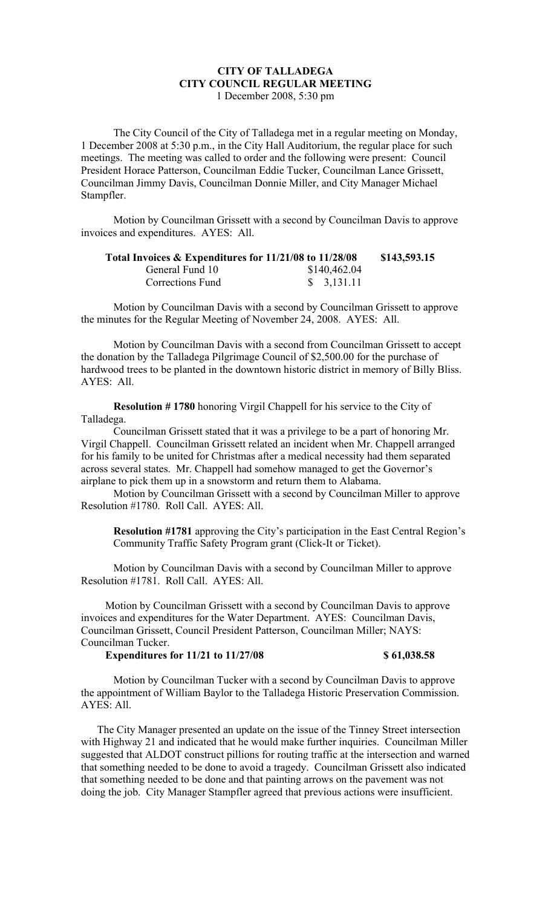## **CITY OF TALLADEGA CITY COUNCIL REGULAR MEETING** 1 December 2008, 5:30 pm

The City Council of the City of Talladega met in a regular meeting on Monday, 1 December 2008 at 5:30 p.m., in the City Hall Auditorium, the regular place for such meetings. The meeting was called to order and the following were present: Council President Horace Patterson, Councilman Eddie Tucker, Councilman Lance Grissett, Councilman Jimmy Davis, Councilman Donnie Miller, and City Manager Michael Stampfler.

Motion by Councilman Grissett with a second by Councilman Davis to approve invoices and expenditures. AYES: All.

| Total Invoices & Expenditures for 11/21/08 to 11/28/08 |                        | \$143,593.15 |
|--------------------------------------------------------|------------------------|--------------|
| General Fund 10                                        | \$140,462.04           |              |
| Corrections Fund                                       | $\frac{1}{2}$ 3.131.11 |              |

Motion by Councilman Davis with a second by Councilman Grissett to approve the minutes for the Regular Meeting of November 24, 2008. AYES: All.

Motion by Councilman Davis with a second from Councilman Grissett to accept the donation by the Talladega Pilgrimage Council of \$2,500.00 for the purchase of hardwood trees to be planted in the downtown historic district in memory of Billy Bliss. AYES: All.

**Resolution # 1780** honoring Virgil Chappell for his service to the City of Talladega.

Councilman Grissett stated that it was a privilege to be a part of honoring Mr. Virgil Chappell. Councilman Grissett related an incident when Mr. Chappell arranged for his family to be united for Christmas after a medical necessity had them separated across several states. Mr. Chappell had somehow managed to get the Governor's airplane to pick them up in a snowstorm and return them to Alabama.

Motion by Councilman Grissett with a second by Councilman Miller to approve Resolution #1780. Roll Call. AYES: All.

**Resolution #1781** approving the City's participation in the East Central Region's Community Traffic Safety Program grant (Click-It or Ticket).

Motion by Councilman Davis with a second by Councilman Miller to approve Resolution #1781. Roll Call. AYES: All.

Motion by Councilman Grissett with a second by Councilman Davis to approve invoices and expenditures for the Water Department. AYES: Councilman Davis, Councilman Grissett, Council President Patterson, Councilman Miller; NAYS: Councilman Tucker.

## **Expenditures for 11/21 to 11/27/08** \$ 61,038.58

Motion by Councilman Tucker with a second by Councilman Davis to approve the appointment of William Baylor to the Talladega Historic Preservation Commission. AYES: All.

The City Manager presented an update on the issue of the Tinney Street intersection with Highway 21 and indicated that he would make further inquiries. Councilman Miller suggested that ALDOT construct pillions for routing traffic at the intersection and warned that something needed to be done to avoid a tragedy. Councilman Grissett also indicated that something needed to be done and that painting arrows on the pavement was not doing the job. City Manager Stampfler agreed that previous actions were insufficient.